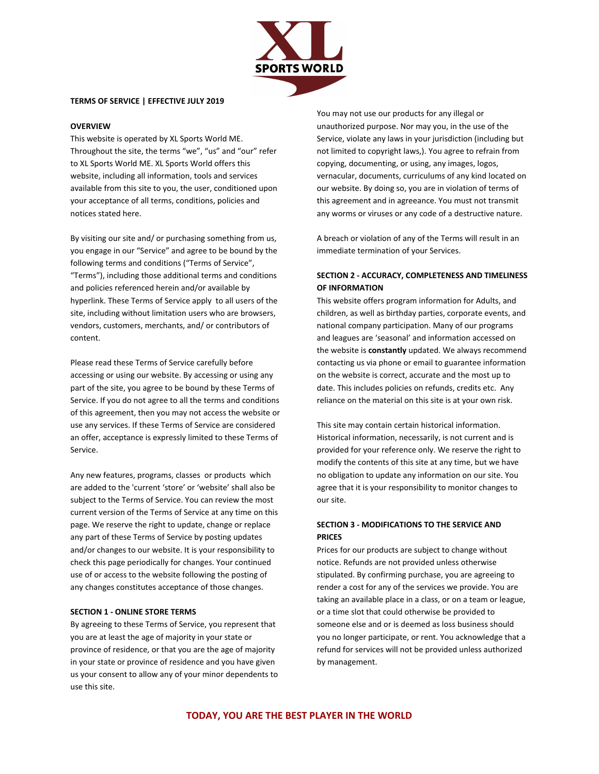

## **TERMS OF SERVICE | EFFECTIVE JULY 2019**

#### **OVERVIEW**

This website is operated by XL Sports World ME. Throughout the site, the terms "we", "us" and "our" refer to XL Sports World ME. XL Sports World offers this website, including all information, tools and services available from this site to you, the user, conditioned upon your acceptance of all terms, conditions, policies and notices stated here.

By visiting our site and/ or purchasing something from us, you engage in our "Service" and agree to be bound by the following terms and conditions ("Terms of Service", "Terms"), including those additional terms and conditions and policies referenced herein and/or available by hyperlink. These Terms of Service apply to all users of the site, including without limitation users who are browsers, vendors, customers, merchants, and/ or contributors of content.

Please read these Terms of Service carefully before accessing or using our website. By accessing or using any part of the site, you agree to be bound by these Terms of Service. If you do not agree to all the terms and conditions of this agreement, then you may not access the website or use any services. If these Terms of Service are considered an offer, acceptance is expressly limited to these Terms of Service.

Any new features, programs, classes or products which are added to the 'current 'store' or 'website' shall also be subject to the Terms of Service. You can review the most current version of the Terms of Service at any time on this page. We reserve the right to update, change or replace any part of these Terms of Service by posting updates and/or changes to our website. It is your responsibility to check this page periodically for changes. Your continued use of or access to the website following the posting of any changes constitutes acceptance of those changes.

### **SECTION 1 - ONLINE STORE TERMS**

By agreeing to these Terms of Service, you represent that you are at least the age of majority in your state or province of residence, or that you are the age of majority in your state or province of residence and you have given us your consent to allow any of your minor dependents to use this site.

You may not use our products for any illegal or unauthorized purpose. Nor may you, in the use of the Service, violate any laws in your jurisdiction (including but not limited to copyright laws,). You agree to refrain from copying, documenting, or using, any images, logos, vernacular, documents, curriculums of any kind located on our website. By doing so, you are in violation of terms of this agreement and in agreeance. You must not transmit any worms or viruses or any code of a destructive nature.

A breach or violation of any of the Terms will result in an immediate termination of your Services.

# **SECTION 2 - ACCURACY, COMPLETENESS AND TIMELINESS OF INFORMATION**

This website offers program information for Adults, and children, as well as birthday parties, corporate events, and national company participation. Many of our programs and leagues are 'seasonal' and information accessed on the website is **constantly** updated. We always recommend contacting us via phone or email to guarantee information on the website is correct, accurate and the most up to date. This includes policies on refunds, credits etc. Any reliance on the material on this site is at your own risk.

This site may contain certain historical information. Historical information, necessarily, is not current and is provided for your reference only. We reserve the right to modify the contents of this site at any time, but we have no obligation to update any information on our site. You agree that it is your responsibility to monitor changes to our site.

# **SECTION 3 - MODIFICATIONS TO THE SERVICE AND PRICES**

Prices for our products are subject to change without notice. Refunds are not provided unless otherwise stipulated. By confirming purchase, you are agreeing to render a cost for any of the services we provide. You are taking an available place in a class, or on a team or league, or a time slot that could otherwise be provided to someone else and or is deemed as loss business should you no longer participate, or rent. You acknowledge that a refund for services will not be provided unless authorized by management.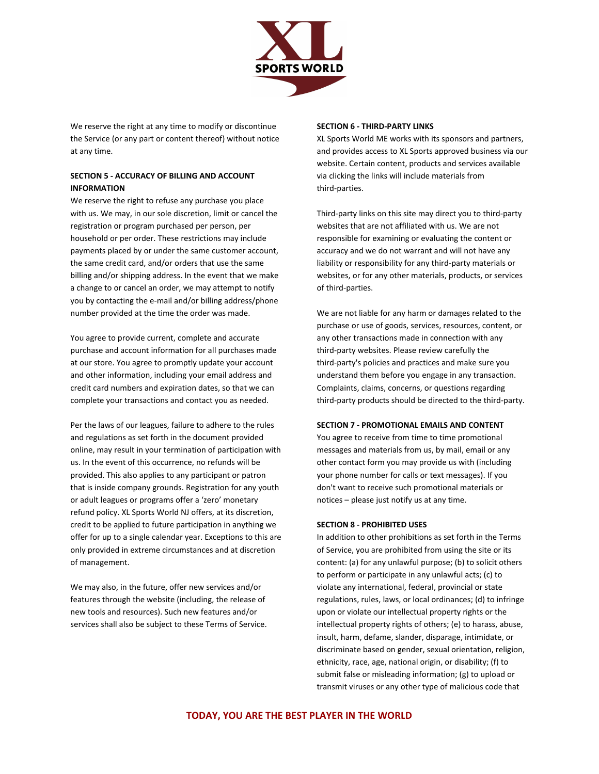

We reserve the right at any time to modify or discontinue the Service (or any part or content thereof) without notice at any time.

# **SECTION 5 - ACCURACY OF BILLING AND ACCOUNT INFORMATION**

We reserve the right to refuse any purchase you place with us. We may, in our sole discretion, limit or cancel the registration or program purchased per person, per household or per order. These restrictions may include payments placed by or under the same customer account, the same credit card, and/or orders that use the same billing and/or shipping address. In the event that we make a change to or cancel an order, we may attempt to notify you by contacting the e-mail and/or billing address/phone number provided at the time the order was made.

You agree to provide current, complete and accurate purchase and account information for all purchases made at our store. You agree to promptly update your account and other information, including your email address and credit card numbers and expiration dates, so that we can complete your transactions and contact you as needed.

Per the laws of our leagues, failure to adhere to the rules and regulations as set forth in the document provided online, may result in your termination of participation with us. In the event of this occurrence, no refunds will be provided. This also applies to any participant or patron that is inside company grounds. Registration for any youth or adult leagues or programs offer a 'zero' monetary refund policy. XL Sports World NJ offers, at its discretion, credit to be applied to future participation in anything we offer for up to a single calendar year. Exceptions to this are only provided in extreme circumstances and at discretion of management.

We may also, in the future, offer new services and/or features through the website (including, the release of new tools and resources). Such new features and/or services shall also be subject to these Terms of Service.

## **SECTION 6 - THIRD-PARTY LINKS**

XL Sports World ME works with its sponsors and partners, and provides access to XL Sports approved business via our website. Certain content, products and services available via clicking the links will include materials from third-parties.

Third-party links on this site may direct you to third-party websites that are not affiliated with us. We are not responsible for examining or evaluating the content or accuracy and we do not warrant and will not have any liability or responsibility for any third-party materials or websites, or for any other materials, products, or services of third-parties.

We are not liable for any harm or damages related to the purchase or use of goods, services, resources, content, or any other transactions made in connection with any third-party websites. Please review carefully the third-party's policies and practices and make sure you understand them before you engage in any transaction. Complaints, claims, concerns, or questions regarding third-party products should be directed to the third-party.

## **SECTION 7 - PROMOTIONAL EMAILS AND CONTENT**

You agree to receive from time to time promotional messages and materials from us, by mail, email or any other contact form you may provide us with (including your phone number for calls or text messages). If you don't want to receive such promotional materials or notices – please just notify us at any time.

## **SECTION 8 - PROHIBITED USES**

In addition to other prohibitions as set forth in the Terms of Service, you are prohibited from using the site or its content: (a) for any unlawful purpose; (b) to solicit others to perform or participate in any unlawful acts; (c) to violate any international, federal, provincial or state regulations, rules, laws, or local ordinances; (d) to infringe upon or violate our intellectual property rights or the intellectual property rights of others; (e) to harass, abuse, insult, harm, defame, slander, disparage, intimidate, or discriminate based on gender, sexual orientation, religion, ethnicity, race, age, national origin, or disability; (f) to submit false or misleading information; (g) to upload or transmit viruses or any other type of malicious code that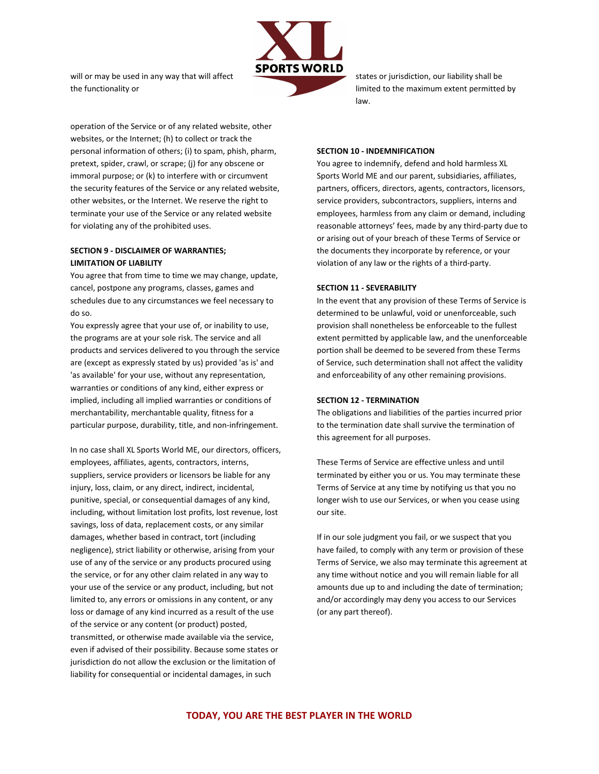will or may be used in any way that will affect the functionality or



states or jurisdiction, our liability shall be limited to the maximum extent permitted by law.

operation of the Service or of any related website, other websites, or the Internet; (h) to collect or track the personal information of others; (i) to spam, phish, pharm, pretext, spider, crawl, or scrape; (j) for any obscene or immoral purpose; or (k) to interfere with or circumvent the security features of the Service or any related website, other websites, or the Internet. We reserve the right to terminate your use of the Service or any related website for violating any of the prohibited uses.

## **SECTION 9 - DISCLAIMER OF WARRANTIES; LIMITATION OF LIABILITY**

You agree that from time to time we may change, update, cancel, postpone any programs, classes, games and schedules due to any circumstances we feel necessary to do so.

You expressly agree that your use of, or inability to use, the programs are at your sole risk. The service and all products and services delivered to you through the service are (except as expressly stated by us) provided 'as is' and 'as available' for your use, without any representation, warranties or conditions of any kind, either express or implied, including all implied warranties or conditions of merchantability, merchantable quality, fitness for a particular purpose, durability, title, and non-infringement.

In no case shall XL Sports World ME, our directors, officers, employees, affiliates, agents, contractors, interns, suppliers, service providers or licensors be liable for any injury, loss, claim, or any direct, indirect, incidental, punitive, special, or consequential damages of any kind, including, without limitation lost profits, lost revenue, lost savings, loss of data, replacement costs, or any similar damages, whether based in contract, tort (including negligence), strict liability or otherwise, arising from your use of any of the service or any products procured using the service, or for any other claim related in any way to your use of the service or any product, including, but not limited to, any errors or omissions in any content, or any loss or damage of any kind incurred as a result of the use of the service or any content (or product) posted, transmitted, or otherwise made available via the service, even if advised of their possibility. Because some states or jurisdiction do not allow the exclusion or the limitation of liability for consequential or incidental damages, in such

### **SECTION 10 - INDEMNIFICATION**

You agree to indemnify, defend and hold harmless XL Sports World ME and our parent, subsidiaries, affiliates, partners, officers, directors, agents, contractors, licensors, service providers, subcontractors, suppliers, interns and employees, harmless from any claim or demand, including reasonable attorneys' fees, made by any third-party due to or arising out of your breach of these Terms of Service or the documents they incorporate by reference, or your violation of any law or the rights of a third-party.

#### **SECTION 11 - SEVERABILITY**

In the event that any provision of these Terms of Service is determined to be unlawful, void or unenforceable, such provision shall nonetheless be enforceable to the fullest extent permitted by applicable law, and the unenforceable portion shall be deemed to be severed from these Terms of Service, such determination shall not affect the validity and enforceability of any other remaining provisions.

## **SECTION 12 - TERMINATION**

The obligations and liabilities of the parties incurred prior to the termination date shall survive the termination of this agreement for all purposes.

These Terms of Service are effective unless and until terminated by either you or us. You may terminate these Terms of Service at any time by notifying us that you no longer wish to use our Services, or when you cease using our site.

If in our sole judgment you fail, or we suspect that you have failed, to comply with any term or provision of these Terms of Service, we also may terminate this agreement at any time without notice and you will remain liable for all amounts due up to and including the date of termination; and/or accordingly may deny you access to our Services (or any part thereof).